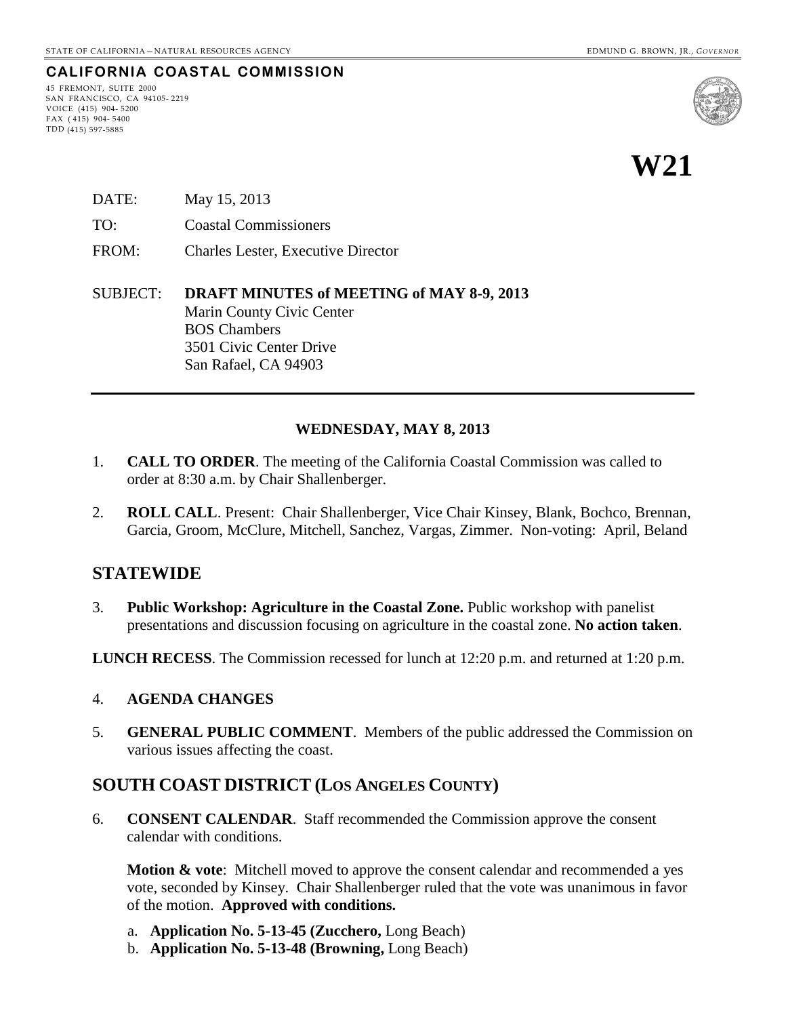#### **CALIFORNIA COASTAL COMMISSION**

45 FREMONT, SUITE 2000 SAN FRANCISCO, CA 94105- 2219 VOICE (415) 904- 5200 FAX ( 415) 904- 5400 TDD (415) 597-5885



- DATE: May 15, 2013
- TO: Coastal Commissioners
- FROM: Charles Lester, Executive Director
- SUBJECT: **DRAFT MINUTES of MEETING of MAY 8-9, 2013** Marin County Civic Center BOS Chambers 3501 Civic Center Drive San Rafael, CA 94903

#### **WEDNESDAY, MAY 8, 2013**

- 1. **CALL TO ORDER**. The meeting of the California Coastal Commission was called to order at 8:30 a.m. by Chair Shallenberger.
- 2. **ROLL CALL**. Present: Chair Shallenberger, Vice Chair Kinsey, Blank, Bochco, Brennan, Garcia, Groom, McClure, Mitchell, Sanchez, Vargas, Zimmer. Non-voting: April, Beland

### **STATEWIDE**

3. **Public Workshop: Agriculture in the Coastal Zone.** Public workshop with panelist presentations and discussion focusing on agriculture in the coastal zone. **No action taken**.

**LUNCH RECESS**. The Commission recessed for lunch at 12:20 p.m. and returned at 1:20 p.m.

#### 4. **AGENDA CHANGES**

5. **GENERAL PUBLIC COMMENT**. Members of the public addressed the Commission on various issues affecting the coast.

### **SOUTH COAST DISTRICT (LOS ANGELES COUNTY)**

6. **CONSENT CALENDAR**. Staff recommended the Commission approve the consent calendar with conditions.

**Motion & vote**: Mitchell moved to approve the consent calendar and recommended a yes vote, seconded by Kinsey. Chair Shallenberger ruled that the vote was unanimous in favor of the motion. **Approved with conditions.**

- a. **Application No. 5-13-45 (Zucchero,** Long Beach)
- b. **Application No. 5-13-48 (Browning,** Long Beach)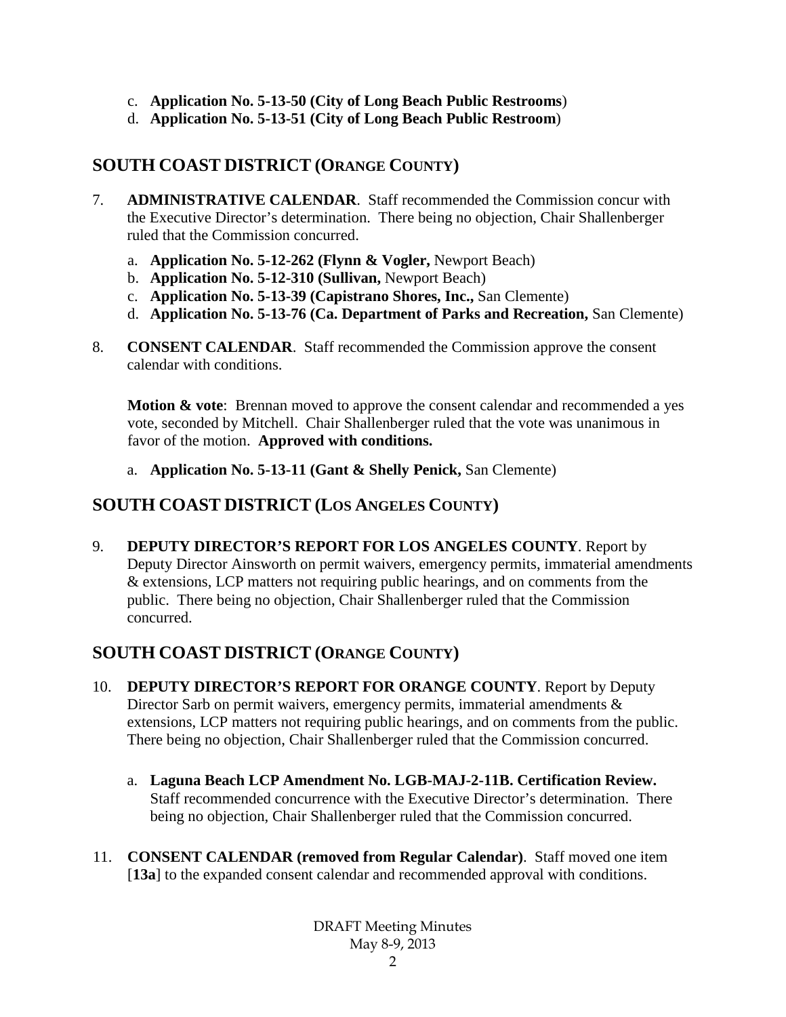- c. **Application No. 5-13-50 (City of Long Beach Public Restrooms**)
- d. **Application No. 5-13-51 (City of Long Beach Public Restroom**)

# **SOUTH COAST DISTRICT (ORANGE COUNTY)**

- 7. **ADMINISTRATIVE CALENDAR**. Staff recommended the Commission concur with the Executive Director's determination. There being no objection, Chair Shallenberger ruled that the Commission concurred.
	- a. **Application No. 5-12-262 (Flynn & Vogler,** Newport Beach)
	- b. **Application No. 5-12-310 (Sullivan,** Newport Beach)
	- c. **Application No. 5-13-39 (Capistrano Shores, Inc.,** San Clemente)
	- d. **Application No. 5-13-76 (Ca. Department of Parks and Recreation,** San Clemente)
- 8. **CONSENT CALENDAR**. Staff recommended the Commission approve the consent calendar with conditions.

**Motion & vote**: Brennan moved to approve the consent calendar and recommended a yes vote, seconded by Mitchell. Chair Shallenberger ruled that the vote was unanimous in favor of the motion. **Approved with conditions.**

a. **Application No. 5-13-11 (Gant & Shelly Penick,** San Clemente)

# **SOUTH COAST DISTRICT (LOS ANGELES COUNTY)**

9. **DEPUTY DIRECTOR'S REPORT FOR LOS ANGELES COUNTY**. Report by Deputy Director Ainsworth on permit waivers, emergency permits, immaterial amendments & extensions, LCP matters not requiring public hearings, and on comments from the public. There being no objection, Chair Shallenberger ruled that the Commission concurred.

# **SOUTH COAST DISTRICT (ORANGE COUNTY)**

- 10. **DEPUTY DIRECTOR'S REPORT FOR ORANGE COUNTY**. Report by Deputy Director Sarb on permit waivers, emergency permits, immaterial amendments  $\&$ extensions, LCP matters not requiring public hearings, and on comments from the public. There being no objection, Chair Shallenberger ruled that the Commission concurred.
	- a. **Laguna Beach LCP Amendment No. LGB-MAJ-2-11B. Certification Review.** Staff recommended concurrence with the Executive Director's determination. There being no objection, Chair Shallenberger ruled that the Commission concurred.
- 11. **CONSENT CALENDAR (removed from Regular Calendar)**. Staff moved one item [**13a**] to the expanded consent calendar and recommended approval with conditions.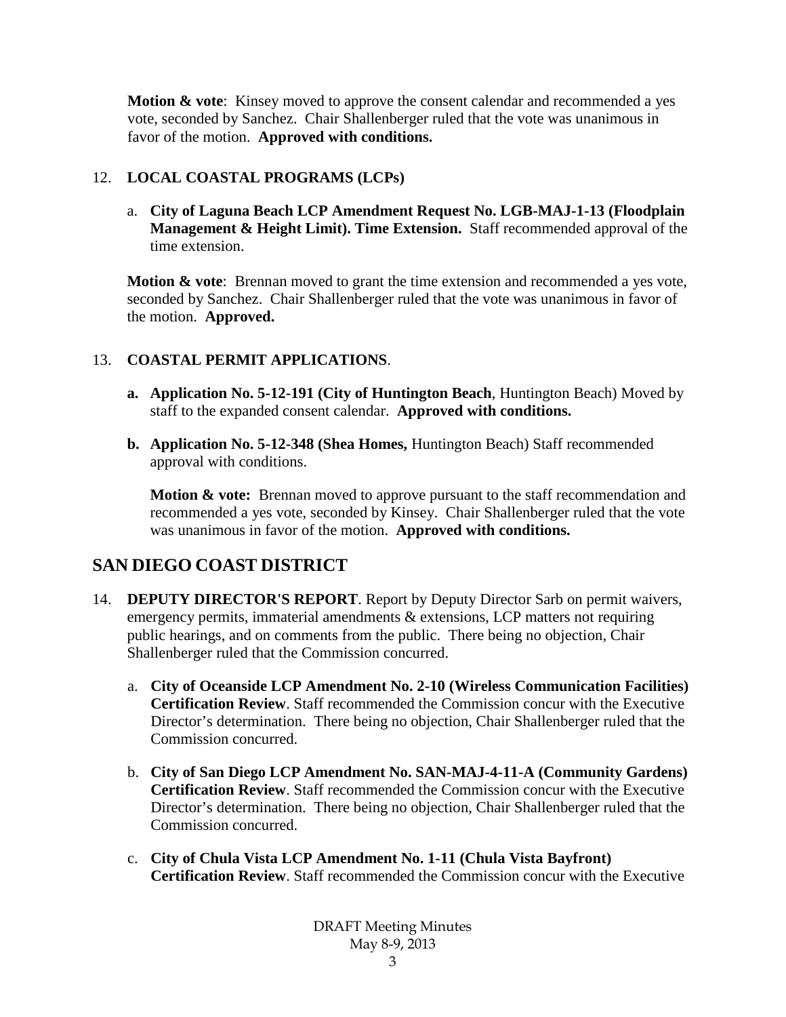**Motion & vote**: Kinsey moved to approve the consent calendar and recommended a yes vote, seconded by Sanchez. Chair Shallenberger ruled that the vote was unanimous in favor of the motion. **Approved with conditions.**

### 12. **LOCAL COASTAL PROGRAMS (LCPs)**

a. **City of Laguna Beach LCP Amendment Request No. LGB-MAJ-1-13 (Floodplain Management & Height Limit). Time Extension.** Staff recommended approval of the time extension.

**Motion & vote:** Brennan moved to grant the time extension and recommended a yes vote, seconded by Sanchez. Chair Shallenberger ruled that the vote was unanimous in favor of the motion. **Approved.**

#### 13. **COASTAL PERMIT APPLICATIONS**.

- **a. Application No. 5-12-191 (City of Huntington Beach**, Huntington Beach) Moved by staff to the expanded consent calendar. **Approved with conditions.**
- **b. Application No. 5-12-348 (Shea Homes,** Huntington Beach) Staff recommended approval with conditions.

**Motion & vote:** Brennan moved to approve pursuant to the staff recommendation and recommended a yes vote, seconded by Kinsey. Chair Shallenberger ruled that the vote was unanimous in favor of the motion. **Approved with conditions.**

# **SAN DIEGO COAST DISTRICT**

- 14. **DEPUTY DIRECTOR'S REPORT**. Report by Deputy Director Sarb on permit waivers, emergency permits, immaterial amendments & extensions, LCP matters not requiring public hearings, and on comments from the public. There being no objection, Chair Shallenberger ruled that the Commission concurred.
	- a. **City of Oceanside LCP Amendment No. 2-10 (Wireless Communication Facilities) Certification Review**. Staff recommended the Commission concur with the Executive Director's determination. There being no objection, Chair Shallenberger ruled that the Commission concurred.
	- b. **City of San Diego LCP Amendment No. SAN-MAJ-4-11-A (Community Gardens) Certification Review**. Staff recommended the Commission concur with the Executive Director's determination. There being no objection, Chair Shallenberger ruled that the Commission concurred.
	- c. **City of Chula Vista LCP Amendment No. 1-11 (Chula Vista Bayfront) Certification Review**. Staff recommended the Commission concur with the Executive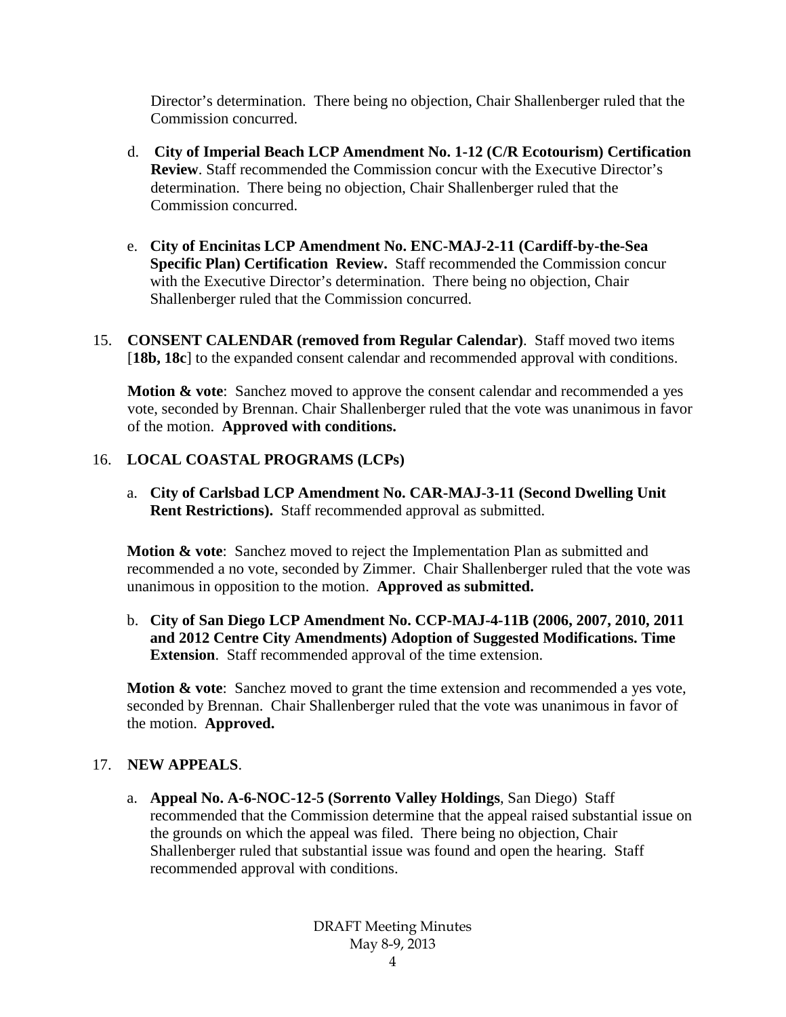Director's determination. There being no objection, Chair Shallenberger ruled that the Commission concurred.

- d. **City of Imperial Beach LCP Amendment No. 1-12 (C/R Ecotourism) Certification Review**. Staff recommended the Commission concur with the Executive Director's determination. There being no objection, Chair Shallenberger ruled that the Commission concurred.
- e. **City of Encinitas LCP Amendment No. ENC-MAJ-2-11 (Cardiff-by-the-Sea Specific Plan) Certification Review.** Staff recommended the Commission concur with the Executive Director's determination. There being no objection, Chair Shallenberger ruled that the Commission concurred.
- 15. **CONSENT CALENDAR (removed from Regular Calendar)**. Staff moved two items [18b, 18c] to the expanded consent calendar and recommended approval with conditions.

**Motion & vote**: Sanchez moved to approve the consent calendar and recommended a yes vote, seconded by Brennan. Chair Shallenberger ruled that the vote was unanimous in favor of the motion. **Approved with conditions.**

#### 16. **LOCAL COASTAL PROGRAMS (LCPs)**

a. **City of Carlsbad LCP Amendment No. CAR-MAJ-3-11 (Second Dwelling Unit Rent Restrictions).** Staff recommended approval as submitted.

**Motion & vote**: Sanchez moved to reject the Implementation Plan as submitted and recommended a no vote, seconded by Zimmer. Chair Shallenberger ruled that the vote was unanimous in opposition to the motion. **Approved as submitted.**

b. **City of San Diego LCP Amendment No. CCP-MAJ-4-11B (2006, 2007, 2010, 2011 and 2012 Centre City Amendments) Adoption of Suggested Modifications. Time Extension**. Staff recommended approval of the time extension.

**Motion & vote:** Sanchez moved to grant the time extension and recommended a yes vote, seconded by Brennan. Chair Shallenberger ruled that the vote was unanimous in favor of the motion. **Approved.**

#### 17. **NEW APPEALS**.

a. **Appeal No. A-6-NOC-12-5 (Sorrento Valley Holdings**, San Diego) Staff recommended that the Commission determine that the appeal raised substantial issue on the grounds on which the appeal was filed. There being no objection, Chair Shallenberger ruled that substantial issue was found and open the hearing. Staff recommended approval with conditions.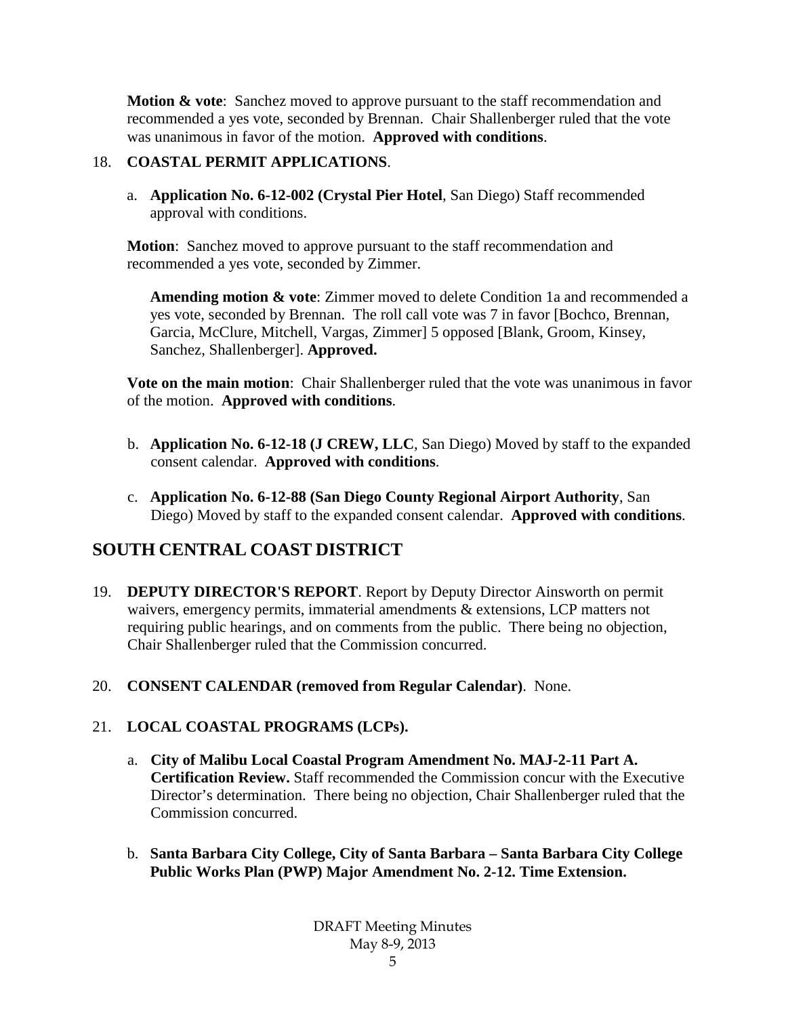**Motion & vote**: Sanchez moved to approve pursuant to the staff recommendation and recommended a yes vote, seconded by Brennan. Chair Shallenberger ruled that the vote was unanimous in favor of the motion. **Approved with conditions**.

#### 18. **COASTAL PERMIT APPLICATIONS**.

a. **Application No. 6-12-002 (Crystal Pier Hotel**, San Diego) Staff recommended approval with conditions.

**Motion**: Sanchez moved to approve pursuant to the staff recommendation and recommended a yes vote, seconded by Zimmer.

**Amending motion & vote**: Zimmer moved to delete Condition 1a and recommended a yes vote, seconded by Brennan. The roll call vote was 7 in favor [Bochco, Brennan, Garcia, McClure, Mitchell, Vargas, Zimmer] 5 opposed [Blank, Groom, Kinsey, Sanchez, Shallenberger]. **Approved.**

**Vote on the main motion**: Chair Shallenberger ruled that the vote was unanimous in favor of the motion. **Approved with conditions**.

- b. **Application No. 6-12-18 (J CREW, LLC**, San Diego) Moved by staff to the expanded consent calendar. **Approved with conditions**.
- c. **Application No. 6-12-88 (San Diego County Regional Airport Authority**, San Diego) Moved by staff to the expanded consent calendar. **Approved with conditions**.

# **SOUTH CENTRAL COAST DISTRICT**

- 19. **DEPUTY DIRECTOR'S REPORT**. Report by Deputy Director Ainsworth on permit waivers, emergency permits, immaterial amendments & extensions, LCP matters not requiring public hearings, and on comments from the public. There being no objection, Chair Shallenberger ruled that the Commission concurred.
- 20. **CONSENT CALENDAR (removed from Regular Calendar)**. None.

### 21. **LOCAL COASTAL PROGRAMS (LCPs).**

- a. **City of Malibu Local Coastal Program Amendment No. MAJ-2-11 Part A. Certification Review.** Staff recommended the Commission concur with the Executive Director's determination. There being no objection, Chair Shallenberger ruled that the Commission concurred.
- b. **Santa Barbara City College, City of Santa Barbara – Santa Barbara City College Public Works Plan (PWP) Major Amendment No. 2-12. Time Extension.**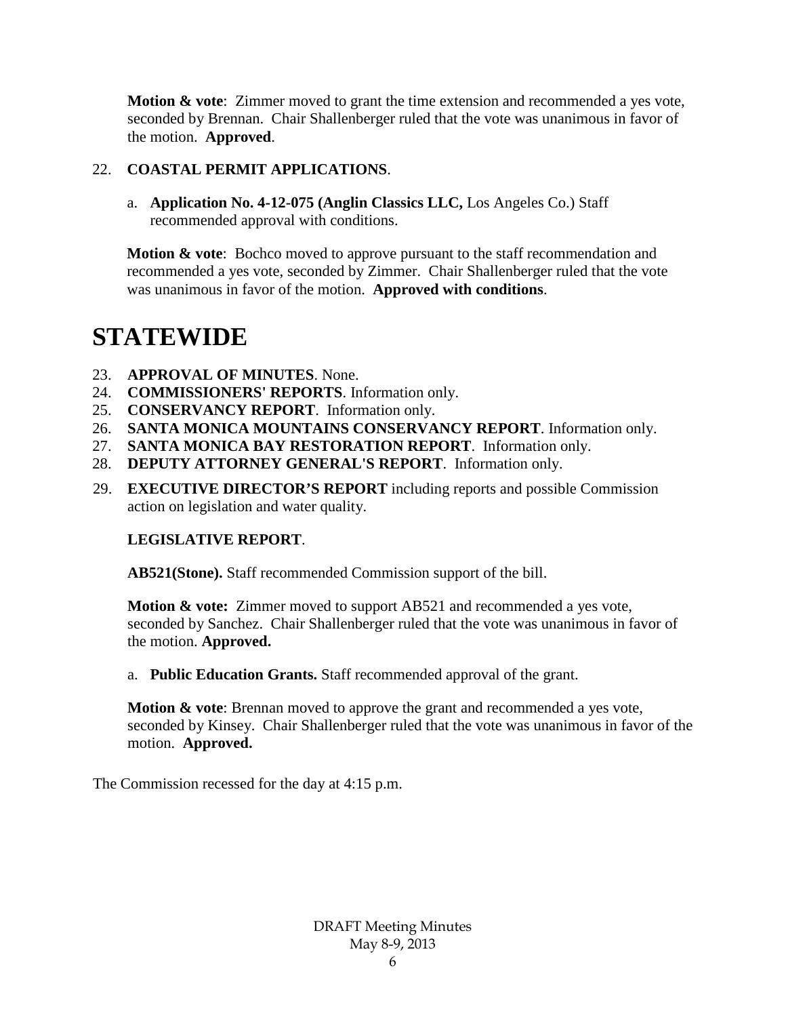**Motion & vote**: Zimmer moved to grant the time extension and recommended a yes vote, seconded by Brennan. Chair Shallenberger ruled that the vote was unanimous in favor of the motion. **Approved**.

#### 22. **COASTAL PERMIT APPLICATIONS**.

a. **Application No. 4-12-075 (Anglin Classics LLC,** Los Angeles Co.) Staff recommended approval with conditions.

**Motion & vote:** Bochco moved to approve pursuant to the staff recommendation and recommended a yes vote, seconded by Zimmer. Chair Shallenberger ruled that the vote was unanimous in favor of the motion. **Approved with conditions**.

# **STATEWIDE**

- 23. **APPROVAL OF MINUTES**. None.
- 24. **COMMISSIONERS' REPORTS**. Information only.
- 25. **CONSERVANCY REPORT**. Information only.
- 26. **SANTA MONICA MOUNTAINS CONSERVANCY REPORT**. Information only.
- 27. **SANTA MONICA BAY RESTORATION REPORT**. Information only.
- 28. **DEPUTY ATTORNEY GENERAL'S REPORT**. Information only.
- 29. **EXECUTIVE DIRECTOR'S REPORT** including reports and possible Commission action on legislation and water quality.

#### **LEGISLATIVE REPORT**.

**AB521(Stone).** Staff recommended Commission support of the bill.

**Motion & vote:** Zimmer moved to support AB521 and recommended a yes vote, seconded by Sanchez. Chair Shallenberger ruled that the vote was unanimous in favor of the motion. **Approved.**

a. **Public Education Grants.** Staff recommended approval of the grant.

**Motion & vote**: Brennan moved to approve the grant and recommended a yes vote, seconded by Kinsey. Chair Shallenberger ruled that the vote was unanimous in favor of the motion. **Approved.**

The Commission recessed for the day at 4:15 p.m.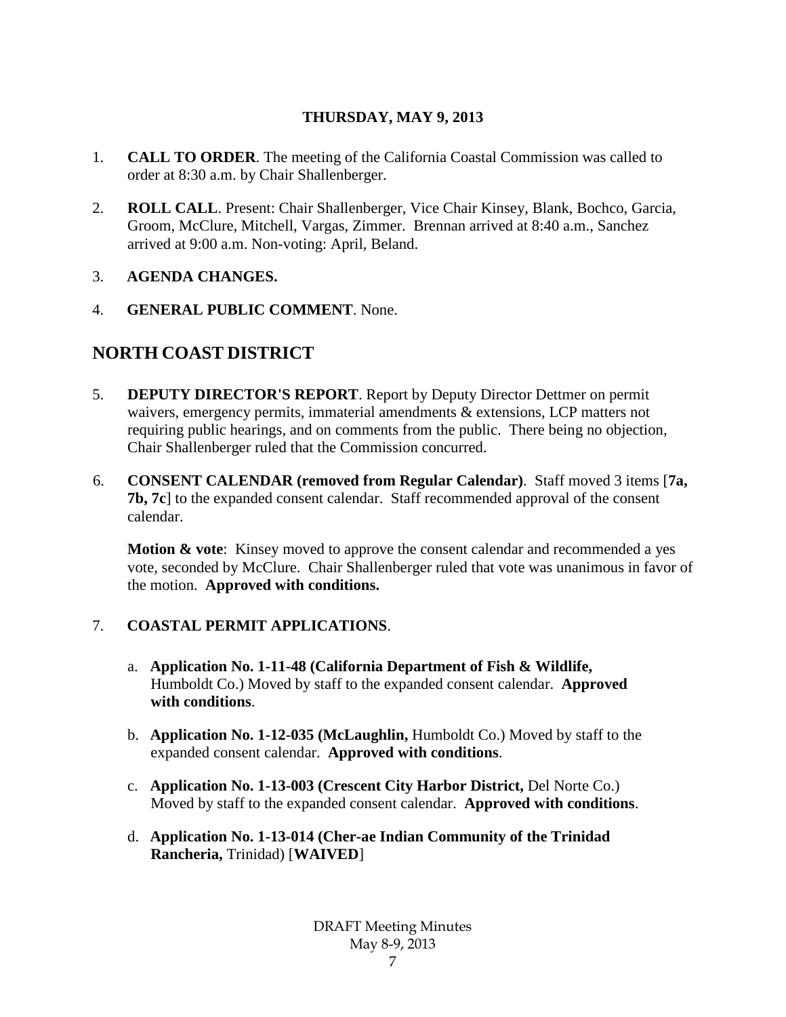### **THURSDAY, MAY 9, 2013**

- 1. **CALL TO ORDER**. The meeting of the California Coastal Commission was called to order at 8:30 a.m. by Chair Shallenberger.
- 2. **ROLL CALL**. Present: Chair Shallenberger, Vice Chair Kinsey, Blank, Bochco, Garcia, Groom, McClure, Mitchell, Vargas, Zimmer. Brennan arrived at 8:40 a.m., Sanchez arrived at 9:00 a.m. Non-voting: April, Beland.

#### 3. **AGENDA CHANGES.**

4. **GENERAL PUBLIC COMMENT**. None.

# **NORTH COAST DISTRICT**

- 5. **DEPUTY DIRECTOR'S REPORT**. Report by Deputy Director Dettmer on permit waivers, emergency permits, immaterial amendments & extensions, LCP matters not requiring public hearings, and on comments from the public. There being no objection, Chair Shallenberger ruled that the Commission concurred.
- 6. **CONSENT CALENDAR (removed from Regular Calendar)**. Staff moved 3 items [**7a, 7b, 7c**] to the expanded consent calendar. Staff recommended approval of the consent calendar.

**Motion & vote:** Kinsey moved to approve the consent calendar and recommended a yes vote, seconded by McClure. Chair Shallenberger ruled that vote was unanimous in favor of the motion. **Approved with conditions.**

### 7. **COASTAL PERMIT APPLICATIONS**.

- a. **Application No. 1-11-48 (California Department of Fish & Wildlife,** Humboldt Co.) Moved by staff to the expanded consent calendar. **Approved with conditions**.
- b. **Application No. 1-12-035 (McLaughlin,** Humboldt Co.) Moved by staff to the expanded consent calendar. **Approved with conditions**.
- c. **Application No. 1-13-003 (Crescent City Harbor District,** Del Norte Co.) Moved by staff to the expanded consent calendar. **Approved with conditions**.
- d. **Application No. 1-13-014 (Cher-ae Indian Community of the Trinidad Rancheria,** Trinidad) [**WAIVED**]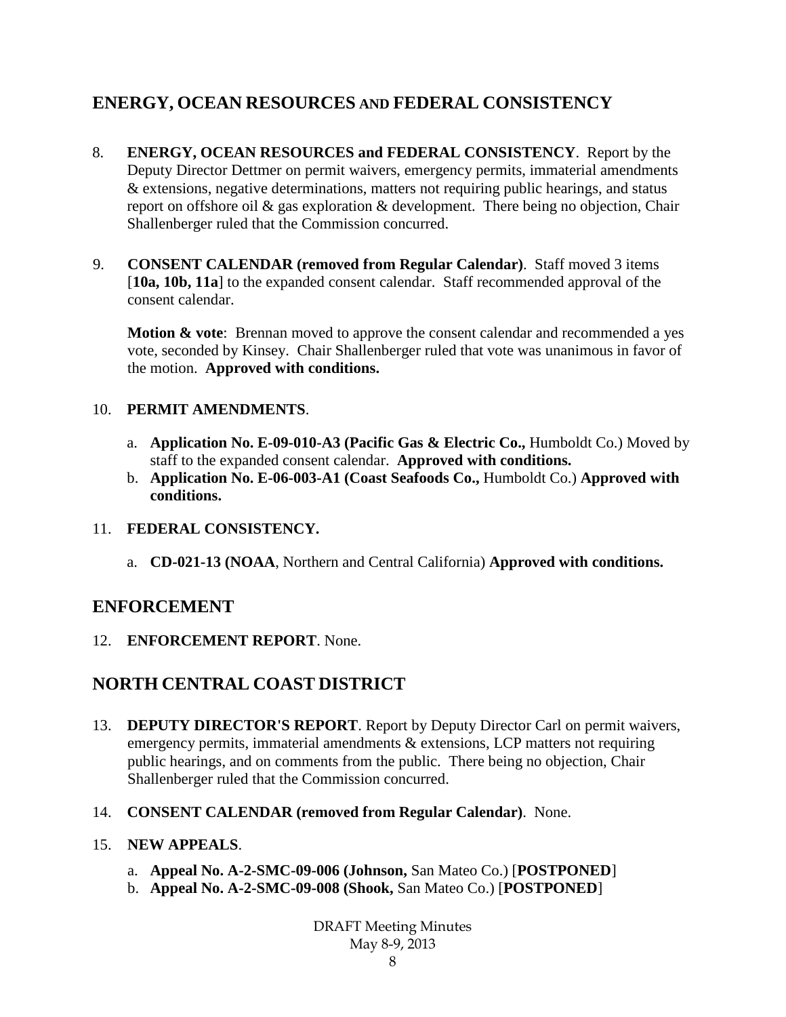# **ENERGY, OCEAN RESOURCES AND FEDERAL CONSISTENCY**

- 8. **ENERGY, OCEAN RESOURCES and FEDERAL CONSISTENCY**. Report by the Deputy Director Dettmer on permit waivers, emergency permits, immaterial amendments & extensions, negative determinations, matters not requiring public hearings, and status report on offshore oil & gas exploration & development. There being no objection, Chair Shallenberger ruled that the Commission concurred.
- 9. **CONSENT CALENDAR (removed from Regular Calendar)**. Staff moved 3 items [**10a, 10b, 11a**] to the expanded consent calendar. Staff recommended approval of the consent calendar.

**Motion & vote:** Brennan moved to approve the consent calendar and recommended a yes vote, seconded by Kinsey. Chair Shallenberger ruled that vote was unanimous in favor of the motion. **Approved with conditions.**

#### 10. **PERMIT AMENDMENTS**.

- a. **Application No. E-09-010-A3 (Pacific Gas & Electric Co.,** Humboldt Co.) Moved by staff to the expanded consent calendar. **Approved with conditions.**
- b. **Application No. E-06-003-A1 (Coast Seafoods Co.,** Humboldt Co.) **Approved with conditions.**

#### 11. **FEDERAL CONSISTENCY.**

a. **CD-021-13 (NOAA**, Northern and Central California) **Approved with conditions.**

### **ENFORCEMENT**

12. **ENFORCEMENT REPORT**. None.

## **NORTH CENTRAL COAST DISTRICT**

- 13. **DEPUTY DIRECTOR'S REPORT**. Report by Deputy Director Carl on permit waivers, emergency permits, immaterial amendments & extensions, LCP matters not requiring public hearings, and on comments from the public. There being no objection, Chair Shallenberger ruled that the Commission concurred.
- 14. **CONSENT CALENDAR (removed from Regular Calendar)**. None.

#### 15. **NEW APPEALS**.

- a. **Appeal No. A-2-SMC-09-006 (Johnson,** San Mateo Co.) [**POSTPONED**]
- b. **Appeal No. A-2-SMC-09-008 (Shook,** San Mateo Co.) [**POSTPONED**]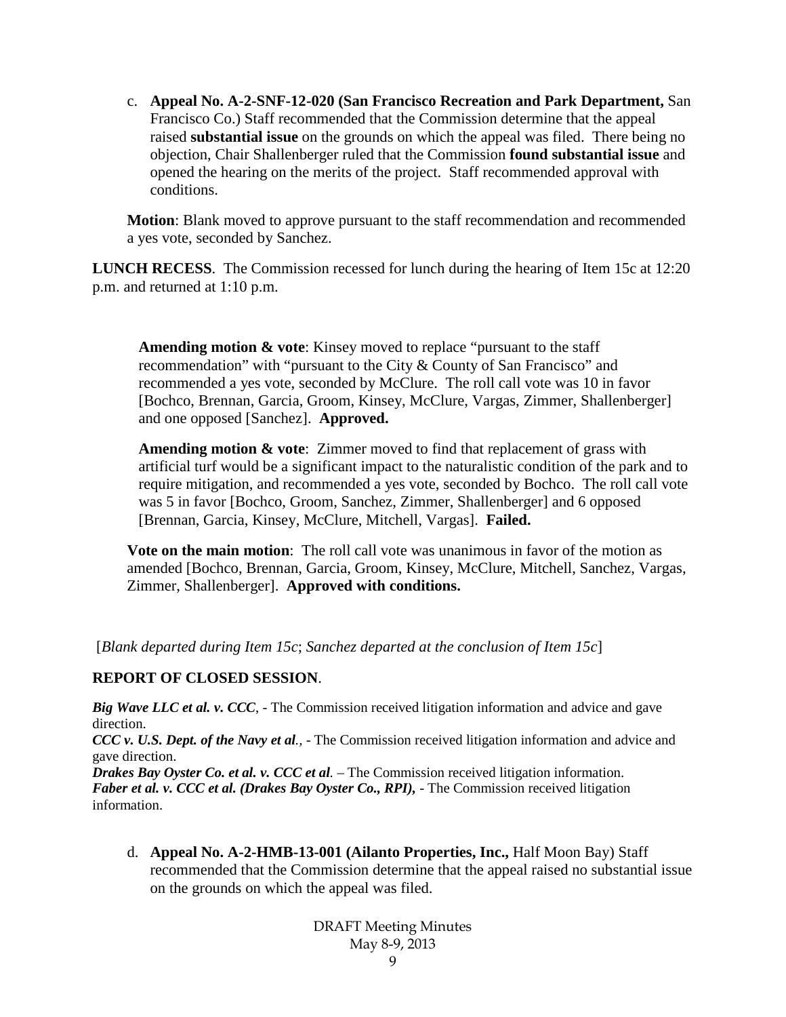c. **Appeal No. A-2-SNF-12-020 (San Francisco Recreation and Park Department,** San Francisco Co.) Staff recommended that the Commission determine that the appeal raised **substantial issue** on the grounds on which the appeal was filed. There being no objection, Chair Shallenberger ruled that the Commission **found substantial issue** and opened the hearing on the merits of the project. Staff recommended approval with conditions.

**Motion**: Blank moved to approve pursuant to the staff recommendation and recommended a yes vote, seconded by Sanchez.

**LUNCH RECESS**. The Commission recessed for lunch during the hearing of Item 15c at 12:20 p.m. and returned at 1:10 p.m.

**Amending motion & vote**: Kinsey moved to replace "pursuant to the staff recommendation" with "pursuant to the City & County of San Francisco" and recommended a yes vote, seconded by McClure. The roll call vote was 10 in favor [Bochco, Brennan, Garcia, Groom, Kinsey, McClure, Vargas, Zimmer, Shallenberger] and one opposed [Sanchez]. **Approved.**

**Amending motion & vote**: Zimmer moved to find that replacement of grass with artificial turf would be a significant impact to the naturalistic condition of the park and to require mitigation, and recommended a yes vote, seconded by Bochco. The roll call vote was 5 in favor [Bochco, Groom, Sanchez, Zimmer, Shallenberger] and 6 opposed [Brennan, Garcia, Kinsey, McClure, Mitchell, Vargas]. **Failed.**

**Vote on the main motion**: The roll call vote was unanimous in favor of the motion as amended [Bochco, Brennan, Garcia, Groom, Kinsey, McClure, Mitchell, Sanchez, Vargas, Zimmer, Shallenberger]. **Approved with conditions.**

[*Blank departed during Item 15c*; *Sanchez departed at the conclusion of Item 15c*]

#### **REPORT OF CLOSED SESSION**.

*Big Wave LLC et al. v. CCC*, - The Commission received litigation information and advice and gave direction.

*CCC v. U.S. Dept. of the Navy et al.,* - The Commission received litigation information and advice and gave direction.

*Drakes Bay Oyster Co. et al. v. CCC et al.* – The Commission received litigation information. *Faber et al. v. CCC et al. (Drakes Bay Oyster Co., RPI),* - The Commission received litigation information.

d. **Appeal No. A-2-HMB-13-001 (Ailanto Properties, Inc.,** Half Moon Bay) Staff recommended that the Commission determine that the appeal raised no substantial issue on the grounds on which the appeal was filed.